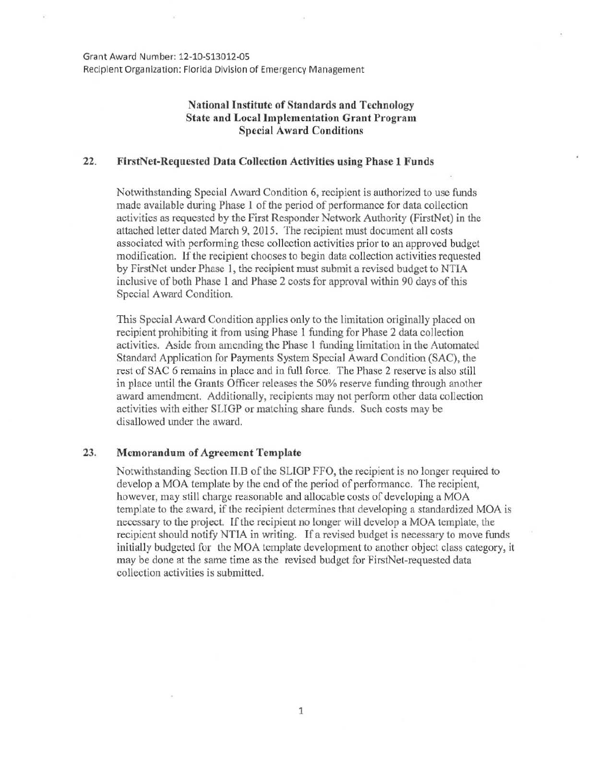Grant Award Number: 12-10-513012·05 Recipient Organization: Florida Division of Emergency Management

## National Institute of Standards and Technology State and Local Implementation Grant Program Special Award Conditions

## 22. FirstNet-Requested Data Collection Activities using Phase 1 Funds

Notwithstanding Special Award Condition 6, recipient is authorized to use funds made available during Phase 1 of the period of performance for data collection activities as requested by the First Responder Network Authority (FirstNet) in the attached letter dated March 9, 2015. The recipient must document all costs associated with performing these collection activities prior to an approved budget modification. If the recipient chooses to begin data collection activities requested by FirstNct under Phase 1, the recipient must submit a revised budget to NTIA inclusive of both Phase 1 and Phase 2 costs for approval within 90 days of this Special Award Condition.

This Special Award Condition applies only to the limitation originally placed on recipient prohibiting it from using Phase 1 funding for Phase 2 data collection activities. Aside from amending the Phase 1 funding limitation in the Automated Standard Application for Payments System Special Award Condition (SAC), the rest of SAC 6 remains in place and in full force. The Phase 2 reserve is also still in place until the Grants Officer releases the 50% reserve funding through another award amendment. Additionally, recipients may not perform other data collection activities with either SLIGP or matching share funds. Such costs may be disallowed under the award.

## 23. Memorandum of Agreement Template

Notwithstanding Section II.B of the SLIGP FFO, the recipient is no longer required to develop a MOA template by the end of the period of performance. The recipient, however, may still charge reasonable and allocable costs of developing a MOA template to the award, if the recipient determines that developing a standardized MOA is necessary to the project. If the recipient no longer will develop a MOA template, the recipient should notify NTIA in writing. If a revised budget is necessary to move funds initially budgeted for the MOA template development to another object class category, it may be done at the same time as the revised budget for FirstNet-requested data collection activities is submitted.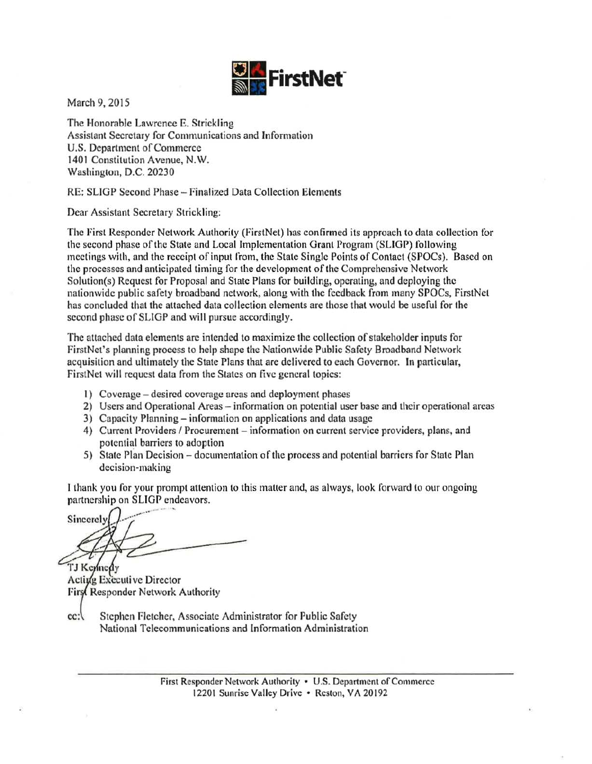

March 9, 2015

The Honorable Lawrence E. Strickling Assistant Secretary for Communications and Information U.S. Department of Commerce 1401 Constitution Avenue, N.W. Washington, D.C. 20230

RE: SLJGP Second Phase- Finalized Data Collection Elements

Dear Assistant Secretary Strickling:

The First Responder Network Authority (FirstNet) has confirmed its approach to data collection for the second phase of the State and Local Implementation Grant Program (SLIGP) following meetings with, and the receipt of input from, the State Single Points of Contact (SPOCs). Based on the processes and anticipated timing for the development of the Comprehensive Network Solution(s) Request for Proposal and State Plans for building, operating, and deploying the nationwide public safety broadband network, along with the feedback from many SPOCs, FirstNct has concluded that the attached data collection elements are those that would be useful for the second phase of SLIGP and will pursue accordingly.

The attached data elements are intended to maximize the collection of stakeholder inputs for FirstNct's planning process to help shape the Nationwide Public Safety Broadband Network acquisition and ultimately the State Plans that are delivered to each Governor. In particular, FirstNet will request data from the States on five general topics:

- I) Coverage desired coverage areas and deployment phases
- 2) Users and Operational Areas- information on potential user base and their operational areas
- 3) Capacity Planning- information on applications and data usage
- 4) Current Providers / Procurement information on current service providers, plans, and potential barriers to adoption
- 5) State Plan Decision documentation of the process and potential barriers for State Plan decision-making

1 thank you for your prompt attention to this matter and, as always, look forward to our ongoing partnership on SLIGP endeavors.

Sincerely TJ Kennedy

Active Executive Director First Responder Network Authority

cc: Stephen Fletcher, Associate Administrator for Public Safety National Telecommunications and Information Administration